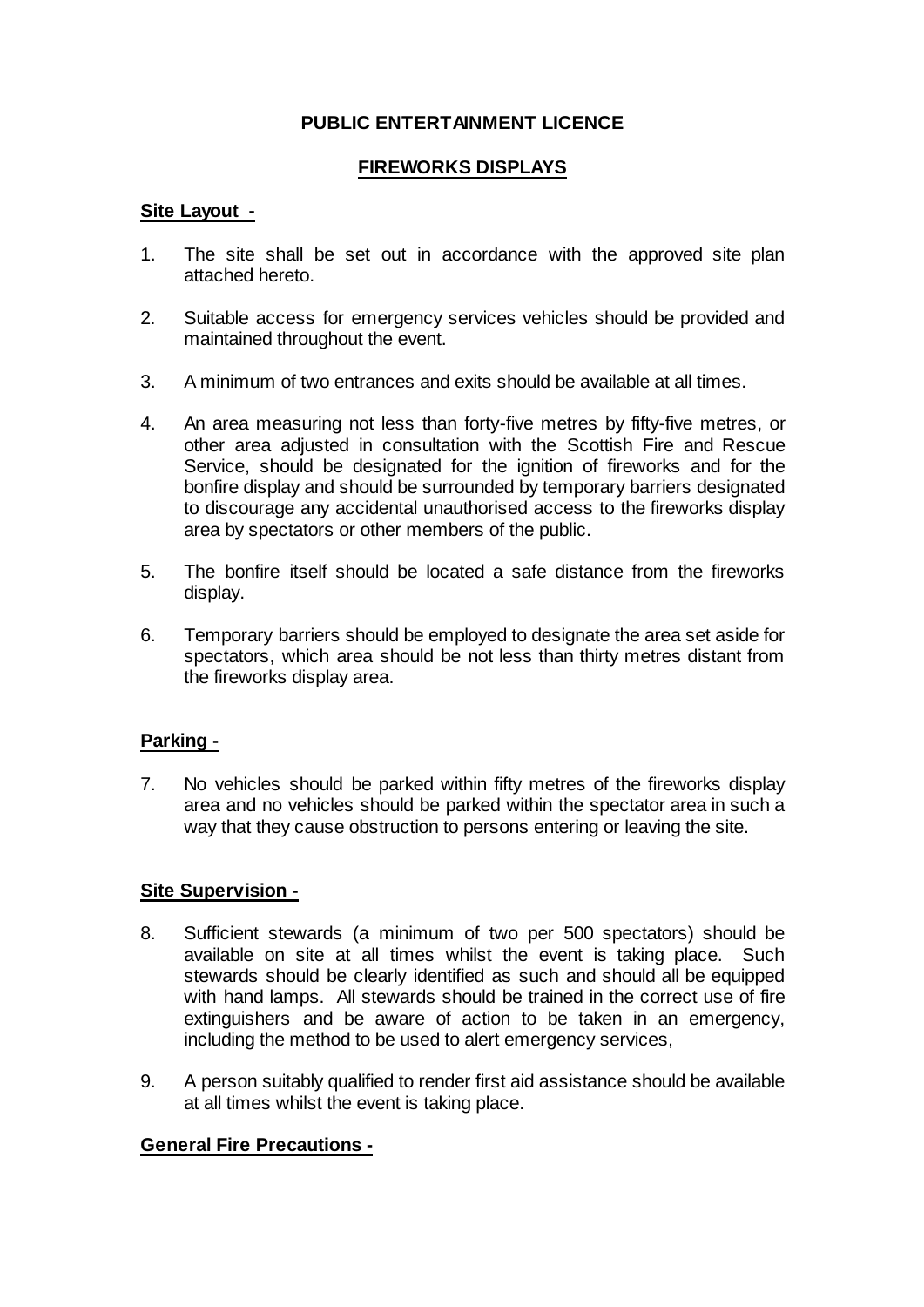# **PUBLIC ENTERTAINMENT LICENCE**

## **FIREWORKS DISPLAYS**

### **Site Layout -**

- 1. The site shall be set out in accordance with the approved site plan attached hereto.
- 2. Suitable access for emergency services vehicles should be provided and maintained throughout the event.
- 3. A minimum of two entrances and exits should be available at all times.
- 4. An area measuring not less than forty-five metres by fifty-five metres, or other area adjusted in consultation with the Scottish Fire and Rescue Service, should be designated for the ignition of fireworks and for the bonfire display and should be surrounded by temporary barriers designated to discourage any accidental unauthorised access to the fireworks display area by spectators or other members of the public.
- 5. The bonfire itself should be located a safe distance from the fireworks display.
- 6. Temporary barriers should be employed to designate the area set aside for spectators, which area should be not less than thirty metres distant from the fireworks display area.

#### **Parking -**

7. No vehicles should be parked within fifty metres of the fireworks display area and no vehicles should be parked within the spectator area in such a way that they cause obstruction to persons entering or leaving the site.

#### **Site Supervision -**

- 8. Sufficient stewards (a minimum of two per 500 spectators) should be available on site at all times whilst the event is taking place. Such stewards should be clearly identified as such and should all be equipped with hand lamps. All stewards should be trained in the correct use of fire extinguishers and be aware of action to be taken in an emergency, including the method to be used to alert emergency services,
- 9. A person suitably qualified to render first aid assistance should be available at all times whilst the event is taking place.

#### **General Fire Precautions -**